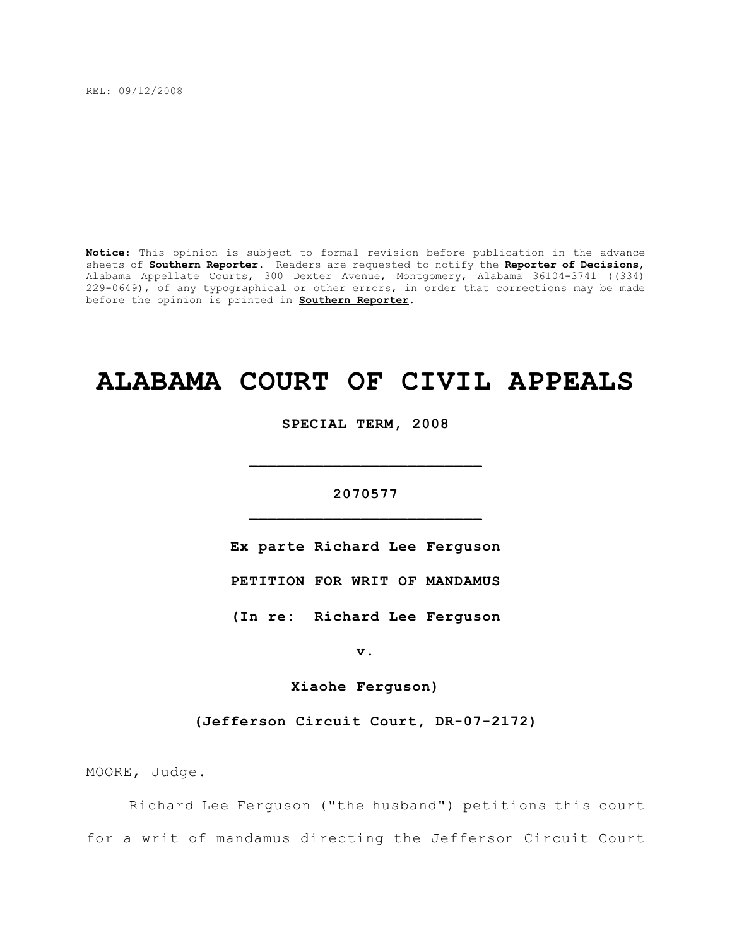REL: 09/12/2008

**Notice**: This opinion is subject to formal revision before publication in the advance sheets of **Southern Reporter**. Readers are requested to notify the **Reporter of Decisions**, Alabama Appellate Courts, 300 Dexter Avenue, Montgomery, Alabama 36104-3741 ((334) 229-0649), of any typographical or other errors, in order that corrections may be made before the opinion is printed in **Southern Reporter**.

# **ALABAMA COURT OF CIVIL APPEALS**

**SPECIAL TERM, 2008**

# **2070577 \_\_\_\_\_\_\_\_\_\_\_\_\_\_\_\_\_\_\_\_\_\_\_\_\_**

**\_\_\_\_\_\_\_\_\_\_\_\_\_\_\_\_\_\_\_\_\_\_\_\_\_**

**Ex parte Richard Lee Ferguson**

**PETITION FOR WRIT OF MANDAMUS**

**(In re: Richard Lee Ferguson**

**v.**

**Xiaohe Ferguson)**

**(Jefferson Circuit Court, DR-07-2172)**

MOORE, Judge.

Richard Lee Ferguson ("the husband") petitions this court for a writ of mandamus directing the Jefferson Circuit Court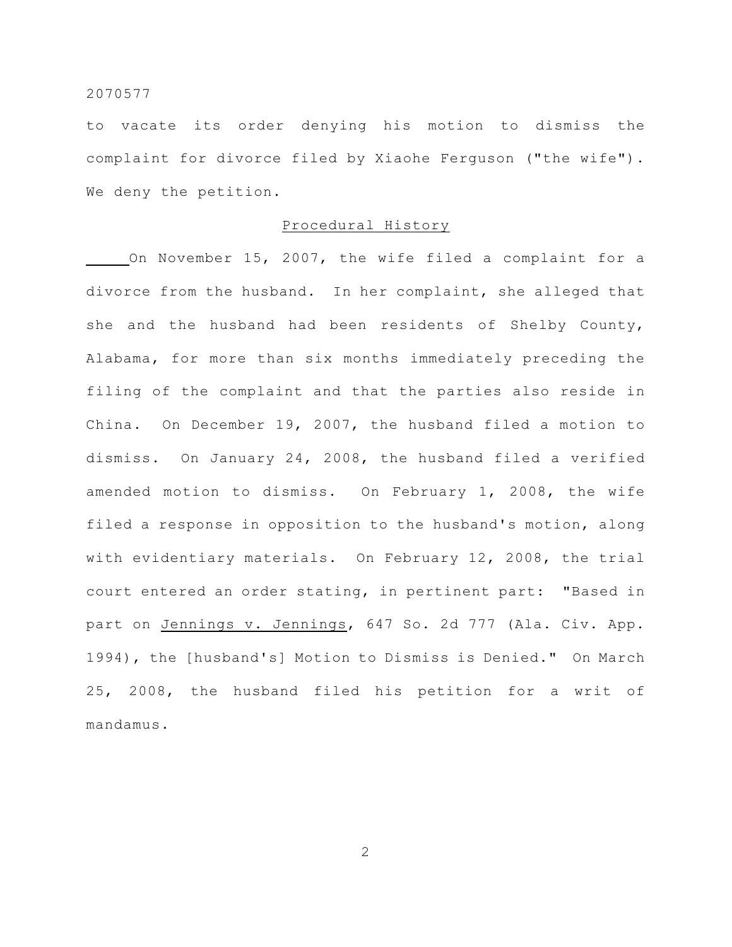to vacate its order denying his motion to dismiss the complaint for divorce filed by Xiaohe Ferguson ("the wife"). We deny the petition.

#### Procedural History

On November 15, 2007, the wife filed a complaint for a divorce from the husband. In her complaint, she alleged that she and the husband had been residents of Shelby County, Alabama, for more than six months immediately preceding the filing of the complaint and that the parties also reside in China. On December 19, 2007, the husband filed a motion to dismiss. On January 24, 2008, the husband filed a verified amended motion to dismiss. On February 1, 2008, the wife filed a response in opposition to the husband's motion, along with evidentiary materials. On February 12, 2008, the trial court entered an order stating, in pertinent part: "Based in part on Jennings v. Jennings, 647 So. 2d 777 (Ala. Civ. App. 1994), the [husband's] Motion to Dismiss is Denied." On March 25, 2008, the husband filed his petition for a writ of mandamus.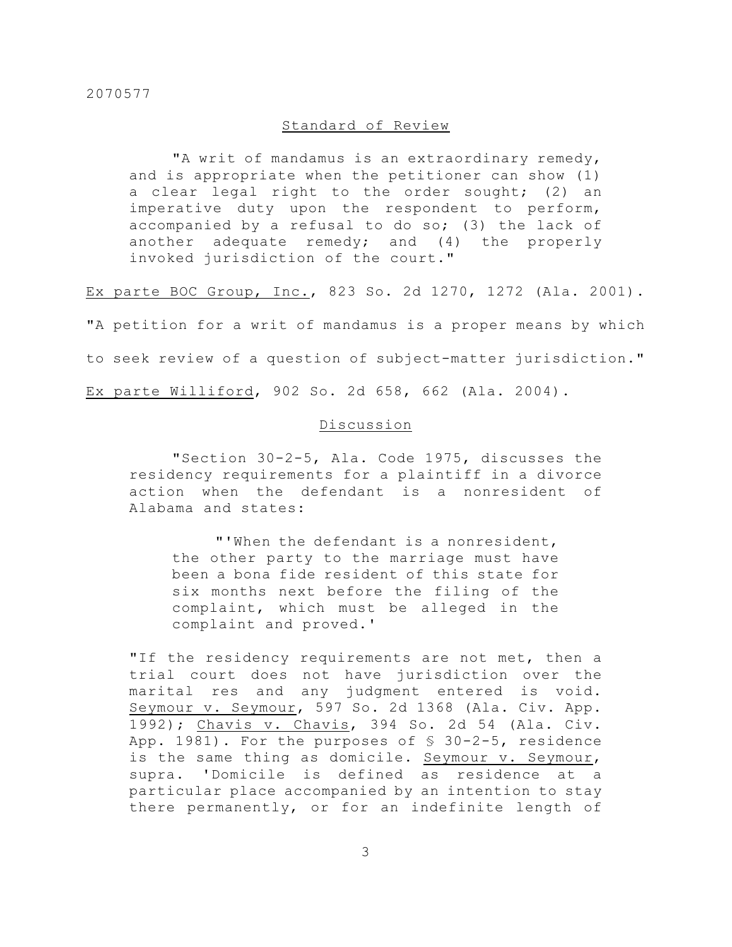## Standard of Review

"A writ of mandamus is an extraordinary remedy, and is appropriate when the petitioner can show (1) a clear legal right to the order sought; (2) an imperative duty upon the respondent to perform, accompanied by a refusal to do so; (3) the lack of another adequate remedy; and (4) the properly invoked jurisdiction of the court."

Ex parte BOC Group, Inc., 823 So. 2d 1270, 1272 (Ala. 2001).

"A petition for a writ of mandamus is a proper means by which to seek review of a question of subject-matter jurisdiction." Ex parte Williford, 902 So. 2d 658, 662 (Ala. 2004).

## Discussion

"Section 30-2-5, Ala. Code 1975, discusses the residency requirements for a plaintiff in a divorce action when the defendant is a nonresident of Alabama and states:

"'When the defendant is a nonresident, the other party to the marriage must have been a bona fide resident of this state for six months next before the filing of the complaint, which must be alleged in the complaint and proved.'

"If the residency requirements are not met, then a trial court does not have jurisdiction over the marital res and any judgment entered is void. Seymour v. Seymour, 597 So. 2d 1368 (Ala. Civ. App. 1992); Chavis v. Chavis, 394 So. 2d 54 (Ala. Civ. App. 1981). For the purposes of § 30-2-5, residence is the same thing as domicile. Seymour v. Seymour, supra. 'Domicile is defined as residence at a particular place accompanied by an intention to stay there permanently, or for an indefinite length of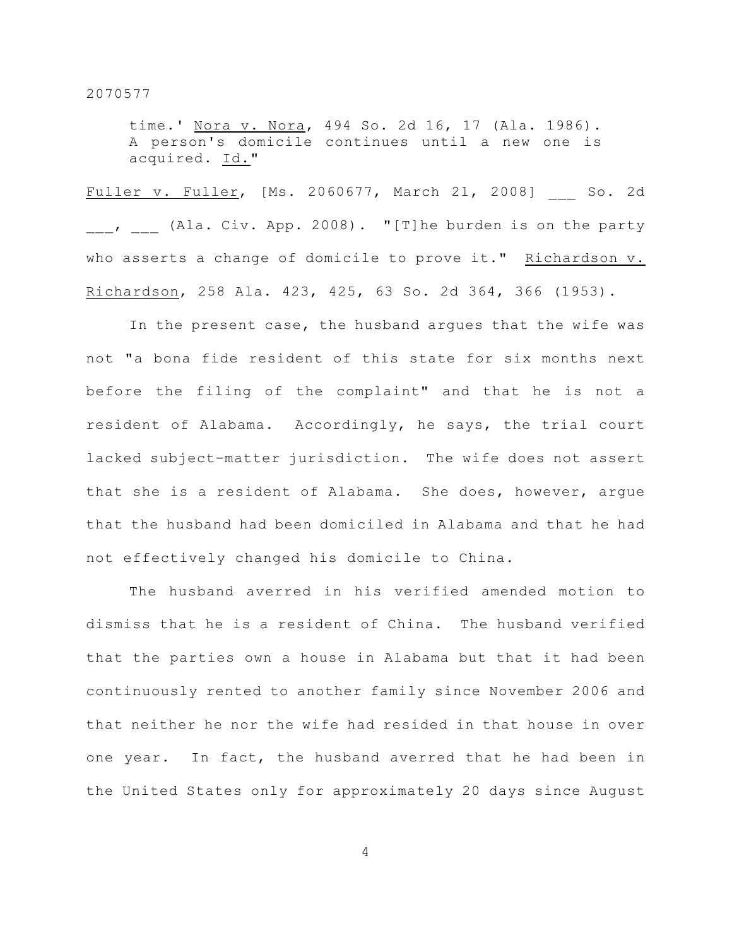time.' Nora v. Nora, 494 So. 2d 16, 17 (Ala. 1986). A person's domicile continues until a new one is acquired. Id."

Fuller v. Fuller, [Ms. 2060677, March 21, 2008] \_\_\_ So. 2d , (Ala. Civ. App. 2008). "[T]he burden is on the party who asserts a change of domicile to prove it." Richardson v. Richardson, 258 Ala. 423, 425, 63 So. 2d 364, 366 (1953).

In the present case, the husband argues that the wife was not "a bona fide resident of this state for six months next before the filing of the complaint" and that he is not a resident of Alabama. Accordingly, he says, the trial court lacked subject-matter jurisdiction. The wife does not assert that she is a resident of Alabama. She does, however, argue that the husband had been domiciled in Alabama and that he had not effectively changed his domicile to China.

The husband averred in his verified amended motion to dismiss that he is a resident of China. The husband verified that the parties own a house in Alabama but that it had been continuously rented to another family since November 2006 and that neither he nor the wife had resided in that house in over one year. In fact, the husband averred that he had been in the United States only for approximately 20 days since August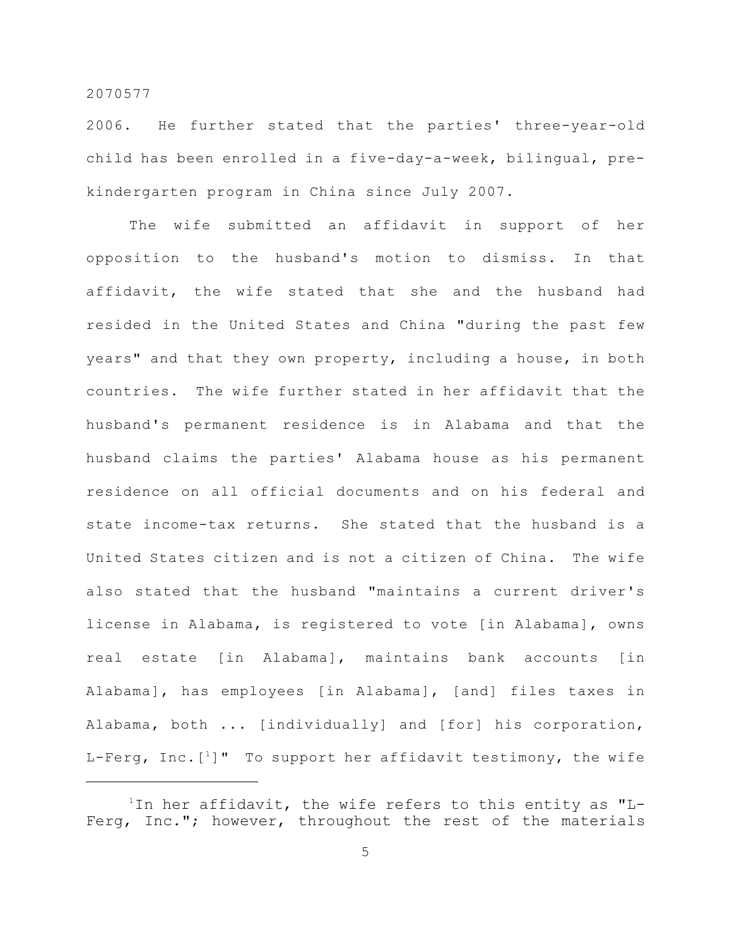2006. He further stated that the parties' three-year-old child has been enrolled in a five-day-a-week, bilingual, prekindergarten program in China since July 2007.

The wife submitted an affidavit in support of her opposition to the husband's motion to dismiss. In that affidavit, the wife stated that she and the husband had resided in the United States and China "during the past few years" and that they own property, including a house, in both countries. The wife further stated in her affidavit that the husband's permanent residence is in Alabama and that the husband claims the parties' Alabama house as his permanent residence on all official documents and on his federal and state income-tax returns. She stated that the husband is a United States citizen and is not a citizen of China. The wife also stated that the husband "maintains a current driver's license in Alabama, is registered to vote [in Alabama], owns real estate [in Alabama], maintains bank accounts [in Alabama], has employees [in Alabama], [and] files taxes in Alabama, both ... [individually] and [for] his corporation, L-Ferg, Inc.  $[1]$ " To support her affidavit testimony, the wife

 $1$ In her affidavit, the wife refers to this entity as "L-Ferg, Inc."; however, throughout the rest of the materials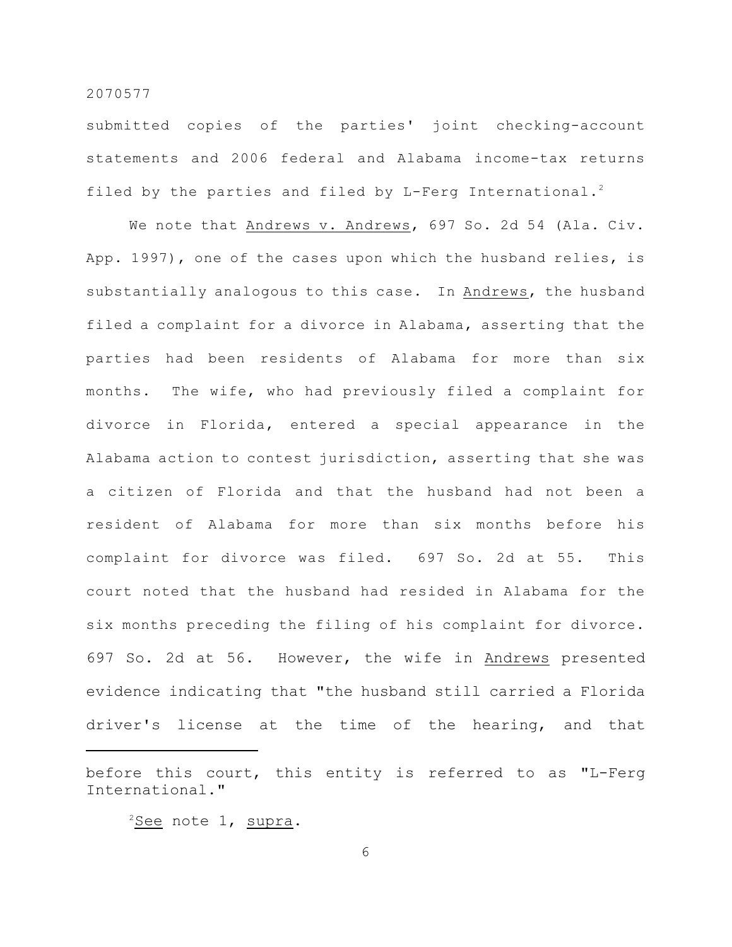submitted copies of the parties' joint checking-account statements and 2006 federal and Alabama income-tax returns filed by the parties and filed by L-Ferg International.<sup>2</sup>

We note that Andrews v. Andrews, 697 So. 2d 54 (Ala. Civ. App. 1997), one of the cases upon which the husband relies, is substantially analogous to this case. In Andrews, the husband filed a complaint for a divorce in Alabama, asserting that the parties had been residents of Alabama for more than six months. The wife, who had previously filed a complaint for divorce in Florida, entered a special appearance in the Alabama action to contest jurisdiction, asserting that she was a citizen of Florida and that the husband had not been a resident of Alabama for more than six months before his complaint for divorce was filed. 697 So. 2d at 55. This court noted that the husband had resided in Alabama for the six months preceding the filing of his complaint for divorce. 697 So. 2d at 56. However, the wife in Andrews presented evidence indicating that "the husband still carried a Florida driver's license at the time of the hearing, and that

 $\frac{2}{{\mathsf{See}}}$  note 1, supra.

before this court, this entity is referred to as "L-Ferg International."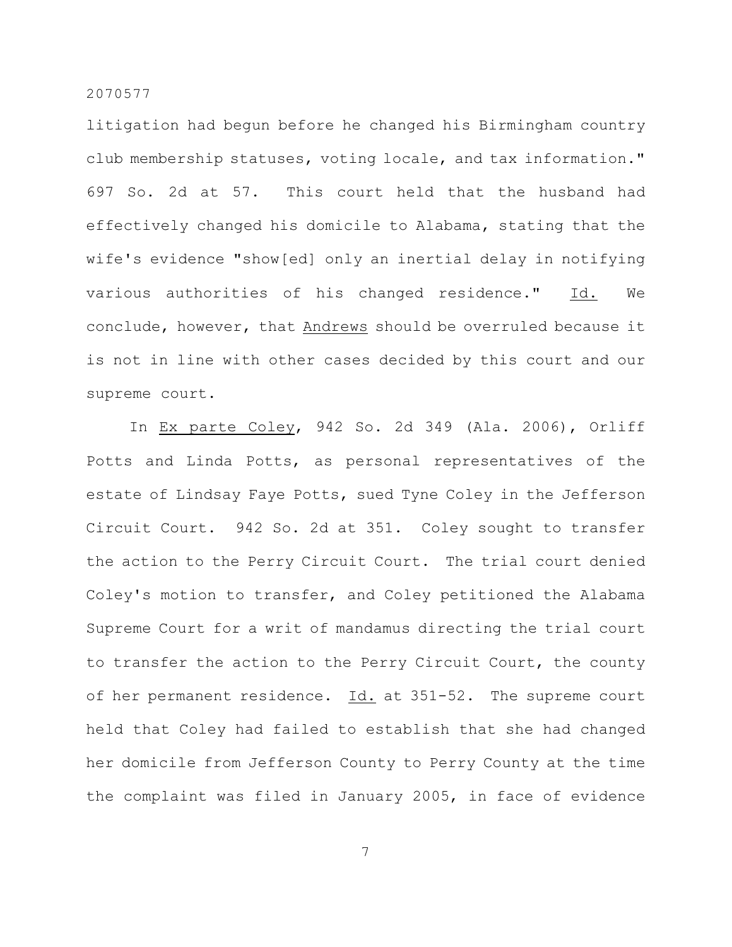litigation had begun before he changed his Birmingham country club membership statuses, voting locale, and tax information." 697 So. 2d at 57. This court held that the husband had effectively changed his domicile to Alabama, stating that the wife's evidence "show[ed] only an inertial delay in notifying various authorities of his changed residence." Id. We conclude, however, that Andrews should be overruled because it is not in line with other cases decided by this court and our supreme court.

In Ex parte Coley, 942 So. 2d 349 (Ala. 2006), Orliff Potts and Linda Potts, as personal representatives of the estate of Lindsay Faye Potts, sued Tyne Coley in the Jefferson Circuit Court. 942 So. 2d at 351. Coley sought to transfer the action to the Perry Circuit Court. The trial court denied Coley's motion to transfer, and Coley petitioned the Alabama Supreme Court for a writ of mandamus directing the trial court to transfer the action to the Perry Circuit Court, the county of her permanent residence. Id. at 351-52. The supreme court held that Coley had failed to establish that she had changed her domicile from Jefferson County to Perry County at the time the complaint was filed in January 2005, in face of evidence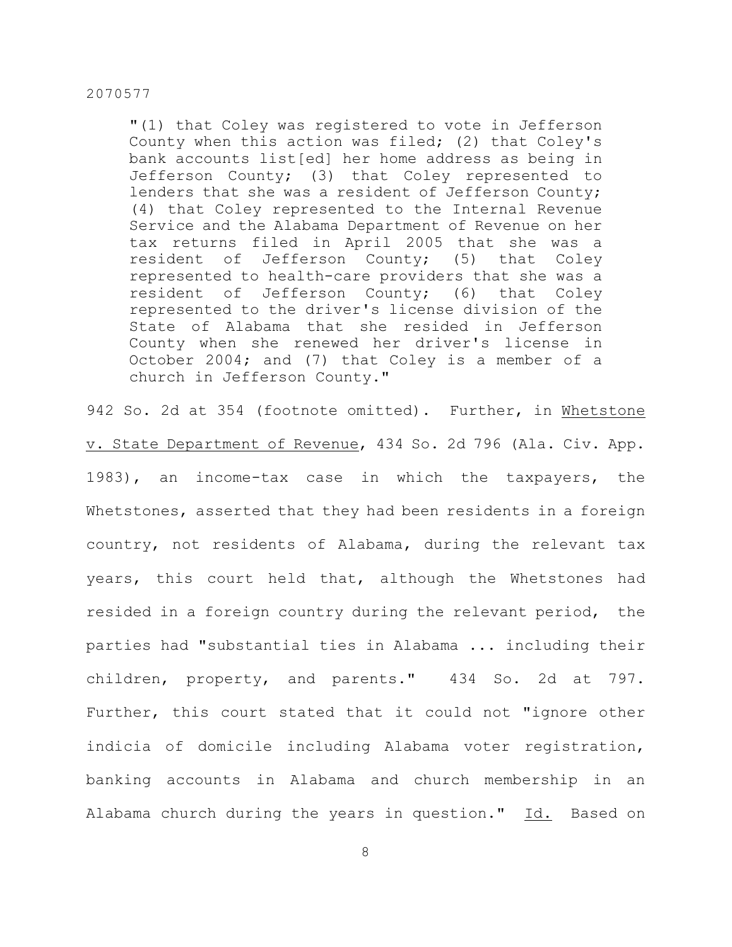"(1) that Coley was registered to vote in Jefferson County when this action was filed; (2) that Coley's bank accounts list[ed] her home address as being in Jefferson County; (3) that Coley represented to lenders that she was a resident of Jefferson County; (4) that Coley represented to the Internal Revenue Service and the Alabama Department of Revenue on her tax returns filed in April 2005 that she was a resident of Jefferson County; (5) that Coley represented to health-care providers that she was a resident of Jefferson County; (6) that Coley represented to the driver's license division of the State of Alabama that she resided in Jefferson County when she renewed her driver's license in October 2004; and (7) that Coley is a member of a church in Jefferson County."

942 So. 2d at 354 (footnote omitted). Further, in Whetstone v. State Department of Revenue, 434 So. 2d 796 (Ala. Civ. App. 1983), an income-tax case in which the taxpayers, the Whetstones, asserted that they had been residents in a foreign country, not residents of Alabama, during the relevant tax years, this court held that, although the Whetstones had resided in a foreign country during the relevant period, the parties had "substantial ties in Alabama ... including their children, property, and parents." 434 So. 2d at 797. Further, this court stated that it could not "ignore other indicia of domicile including Alabama voter registration, banking accounts in Alabama and church membership in an Alabama church during the years in question." Id. Based on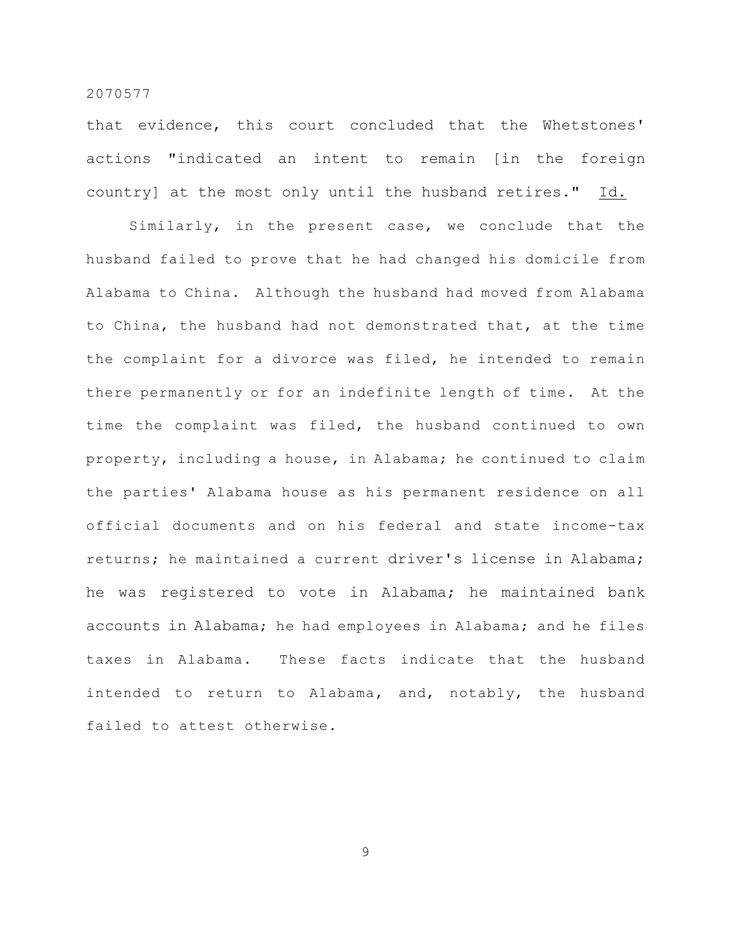that evidence, this court concluded that the Whetstones' actions "indicated an intent to remain [in the foreign country] at the most only until the husband retires." Id.

Similarly, in the present case, we conclude that the husband failed to prove that he had changed his domicile from Alabama to China. Although the husband had moved from Alabama to China, the husband had not demonstrated that, at the time the complaint for a divorce was filed, he intended to remain there permanently or for an indefinite length of time. At the time the complaint was filed, the husband continued to own property, including a house, in Alabama; he continued to claim the parties' Alabama house as his permanent residence on all official documents and on his federal and state income-tax returns; he maintained a current driver's license in Alabama; he was registered to vote in Alabama; he maintained bank accounts in Alabama; he had employees in Alabama; and he files taxes in Alabama. These facts indicate that the husband intended to return to Alabama, and, notably, the husband failed to attest otherwise.